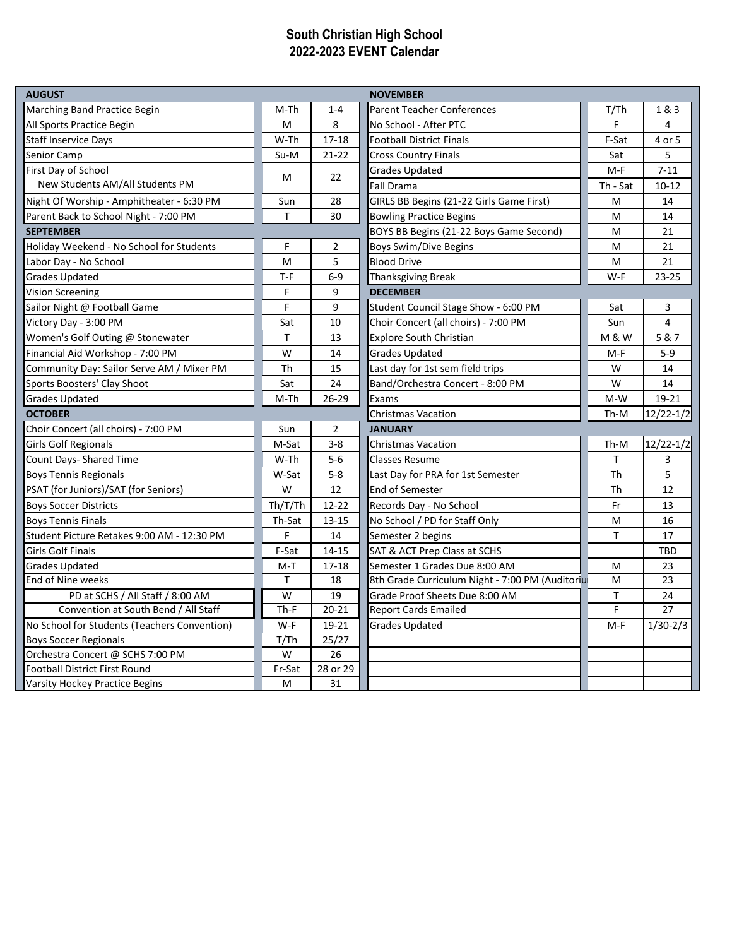## **South Christian High School 2022-2023 EVENT Calendar**

| <b>AUGUST</b>                                |         |                | <b>NOVEMBER</b>                                 |                |               |
|----------------------------------------------|---------|----------------|-------------------------------------------------|----------------|---------------|
| Marching Band Practice Begin                 | M-Th    | $1 - 4$        | <b>Parent Teacher Conferences</b>               | T/Th           | 1&3           |
| All Sports Practice Begin                    | M       | 8              | No School - After PTC                           | F              | 4             |
| <b>Staff Inservice Days</b>                  | W-Th    | $17 - 18$      | <b>Football District Finals</b>                 | F-Sat          | 4 or 5        |
| Senior Camp                                  | Su-M    | $21 - 22$      | <b>Cross Country Finals</b>                     | Sat            | 5             |
| First Day of School                          | M       | 22             | <b>Grades Updated</b>                           | $M-F$          | $7 - 11$      |
| New Students AM/All Students PM              |         |                | <b>Fall Drama</b>                               | Th - Sat       | $10 - 12$     |
| Night Of Worship - Amphitheater - 6:30 PM    | Sun     | 28             | GIRLS BB Begins (21-22 Girls Game First)        | M              | 14            |
| Parent Back to School Night - 7:00 PM        | T       | 30             | <b>Bowling Practice Begins</b>                  | M              | 14            |
| <b>SEPTEMBER</b>                             |         |                | BOYS BB Begins (21-22 Boys Game Second)         | M              | 21            |
| Holiday Weekend - No School for Students     | F       | $\overline{2}$ | <b>Boys Swim/Dive Begins</b>                    | M              | 21            |
| Labor Day - No School                        | M       | 5              | <b>Blood Drive</b>                              | M              | 21            |
| <b>Grades Updated</b>                        | $T-F$   | $6-9$          | <b>Thanksgiving Break</b>                       | W-F            | 23-25         |
| <b>Vision Screening</b>                      | F       | 9              | <b>DECEMBER</b>                                 |                |               |
| Sailor Night @ Football Game                 | F       | 9              | Student Council Stage Show - 6:00 PM            | Sat            | 3             |
| Victory Day - 3:00 PM                        | Sat     | 10             | Choir Concert (all choirs) - 7:00 PM            | Sun            | 4             |
| Women's Golf Outing @ Stonewater             | Τ       | 13             | <b>Explore South Christian</b>                  | <b>M&amp;W</b> | 5 & 7         |
| Financial Aid Workshop - 7:00 PM             | W       | 14             | <b>Grades Updated</b>                           | $M-F$          | $5-9$         |
| Community Day: Sailor Serve AM / Mixer PM    | Th      | 15             | Last day for 1st sem field trips                | W              | 14            |
| Sports Boosters' Clay Shoot                  | Sat     | 24             | Band/Orchestra Concert - 8:00 PM                | W              | 14            |
| <b>Grades Updated</b>                        | M-Th    | $26-29$        | Exams                                           | $M-W$          | 19-21         |
| <b>OCTOBER</b>                               |         |                | <b>Christmas Vacation</b>                       | Th-M           | $12/22 - 1/2$ |
| Choir Concert (all choirs) - 7:00 PM         | Sun     | 2              | <b>JANUARY</b>                                  |                |               |
| <b>Girls Golf Regionals</b>                  | M-Sat   | $3 - 8$        | <b>Christmas Vacation</b>                       | Th-M           | $12/22 - 1/2$ |
| Count Days- Shared Time                      | W-Th    | $5-6$          | <b>Classes Resume</b>                           | т              | 3             |
| <b>Boys Tennis Regionals</b>                 | W-Sat   | $5 - 8$        | Last Day for PRA for 1st Semester               | Th             | 5             |
| PSAT (for Juniors)/SAT (for Seniors)         | W       | 12             | <b>End of Semester</b>                          | Th             | 12            |
| <b>Boys Soccer Districts</b>                 | Th/T/Th | $12 - 22$      | Records Day - No School                         | Fr             | 13            |
| <b>Boys Tennis Finals</b>                    | Th-Sat  | $13 - 15$      | No School / PD for Staff Only                   | M              | 16            |
| Student Picture Retakes 9:00 AM - 12:30 PM   | F       | 14             | Semester 2 begins                               | Τ              | 17            |
| <b>Girls Golf Finals</b>                     | F-Sat   | $14 - 15$      | SAT & ACT Prep Class at SCHS                    |                | <b>TBD</b>    |
| <b>Grades Updated</b>                        | $M-T$   | $17 - 18$      | Semester 1 Grades Due 8:00 AM                   | M              | 23            |
| End of Nine weeks                            | T.      | 18             | 8th Grade Curriculum Night - 7:00 PM (Auditoriu | M              | 23            |
| PD at SCHS / All Staff / 8:00 AM             | W       | 19             | Grade Proof Sheets Due 8:00 AM                  | T              | 24            |
| Convention at South Bend / All Staff         | $Th-F$  | $20 - 21$      | <b>Report Cards Emailed</b>                     | F.             | 27            |
| No School for Students (Teachers Convention) | W-F     | 19-21          | <b>Grades Updated</b>                           | $M-F$          | $1/30-2/3$    |
| <b>Boys Soccer Regionals</b>                 | T/Th    | 25/27          |                                                 |                |               |
| Orchestra Concert @ SCHS 7:00 PM             | W       | 26             |                                                 |                |               |
| <b>Football District First Round</b>         | Fr-Sat  | 28 or 29       |                                                 |                |               |
| Varsity Hockey Practice Begins               | M       | 31             |                                                 |                |               |